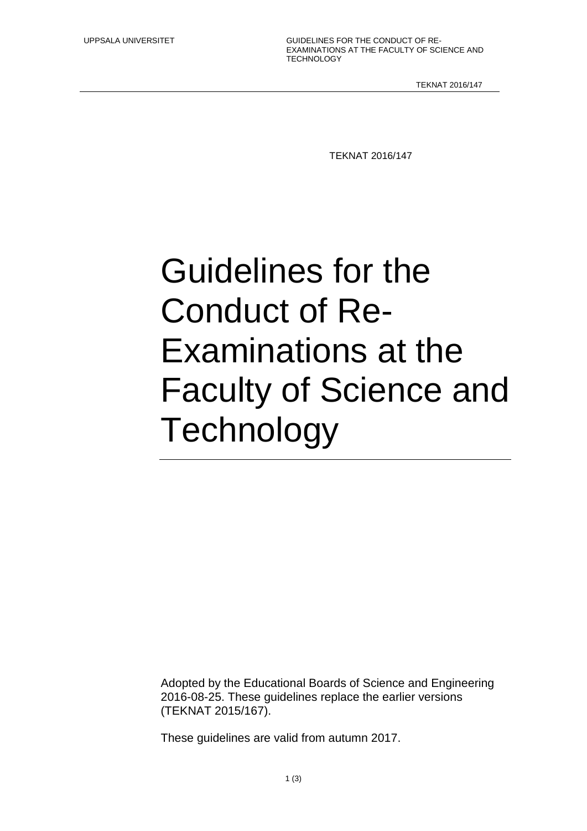UPPSALA UNIVERSITET **GUIDELINES FOR THE CONDUCT OF RE-**EXAMINATIONS AT THE FACULTY OF SCIENCE AND **TECHNOLOGY** 

TEKNAT 2016/147

TEKNAT 2016/147

## Guidelines for the Conduct of Re-Examinations at the Faculty of Science and **Technology**

Adopted by the Educational Boards of Science and Engineering 2016-08-25. These guidelines replace the earlier versions (TEKNAT 2015/167).

These guidelines are valid from autumn 2017.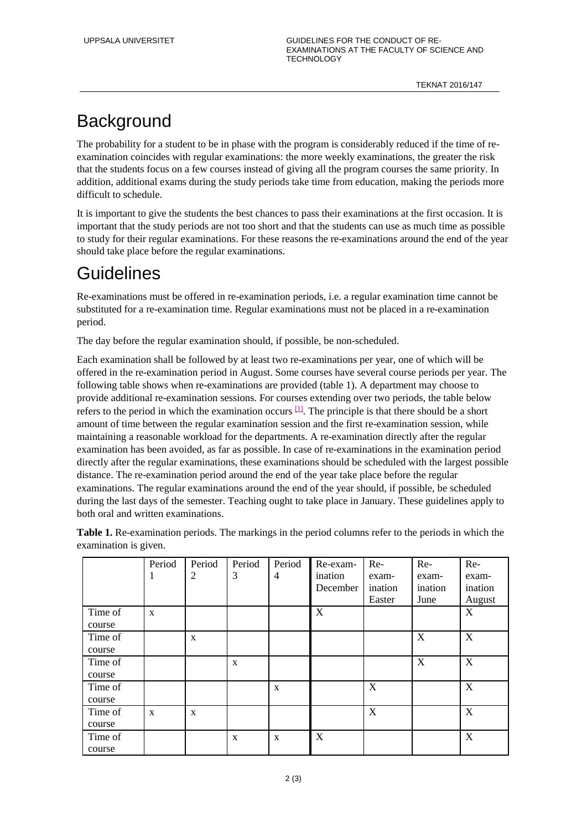## **Background**

The probability for a student to be in phase with the program is considerably reduced if the time of reexamination coincides with regular examinations: the more weekly examinations, the greater the risk that the students focus on a few courses instead of giving all the program courses the same priority. In addition, additional exams during the study periods take time from education, making the periods more difficult to schedule.

It is important to give the students the best chances to pass their examinations at the first occasion. It is important that the study periods are not too short and that the students can use as much time as possible to study for their regular examinations. For these reasons the re-examinations around the end of the year should take place before the regular examinations.

## **Guidelines**

Re-examinations must be offered in re-examination periods, i.e. a regular examination time cannot be substituted for a re-examination time. Regular examinations must not be placed in a re-examination period.

The day before the regular examination should, if possible, be non-scheduled.

Each examination shall be followed by at least two re-examinations per year, one of which will be offered in the re-examination period in August. Some courses have several course periods per year. The following table shows when re-examinations are provided (table 1). A department may choose to provide additional re-examination sessions. For courses extending over two periods, the table below refers to the period in which the examination occurs  $\mathbb{H}$ . The principle is that there should be a short amount of time between the regular examination session and the first re-examination session, while maintaining a reasonable workload for the departments. A re-examination directly after the regular examination has been avoided, as far as possible. In case of re-examinations in the examination period directly after the regular examinations, these examinations should be scheduled with the largest possible distance. The re-examination period around the end of the year take place before the regular examinations. The regular examinations around the end of the year should, if possible, be scheduled during the last days of the semester. Teaching ought to take place in January. These guidelines apply to both oral and written examinations.

**Table 1.** Re-examination periods. The markings in the period columns refer to the periods in which the examination is given.

|         | Period       | Period         | Period       | Period         | Re-exam- | $Re-$   | $Re-$   | Re-         |
|---------|--------------|----------------|--------------|----------------|----------|---------|---------|-------------|
|         | 1            | $\overline{2}$ | 3            | $\overline{4}$ | ination  | exam-   | exam-   | exam-       |
|         |              |                |              |                | December | ination | ination | ination     |
|         |              |                |              |                |          | Easter  | June    | August      |
| Time of | $\mathbf{x}$ |                |              |                | X        |         |         | $\mathbf X$ |
| course  |              |                |              |                |          |         |         |             |
| Time of |              | $\mathbf{x}$   |              |                |          |         | X       | X           |
| course  |              |                |              |                |          |         |         |             |
| Time of |              |                | $\mathbf{x}$ |                |          |         | X       | X           |
| course  |              |                |              |                |          |         |         |             |
| Time of |              |                |              | $\mathbf{X}$   |          | X       |         | X           |
| course  |              |                |              |                |          |         |         |             |
| Time of | $\mathbf X$  | $\mathbf X$    |              |                |          | X       |         | X           |
| course  |              |                |              |                |          |         |         |             |
| Time of |              |                | $\mathbf X$  | $\mathbf X$    | X        |         |         | X           |
| course  |              |                |              |                |          |         |         |             |